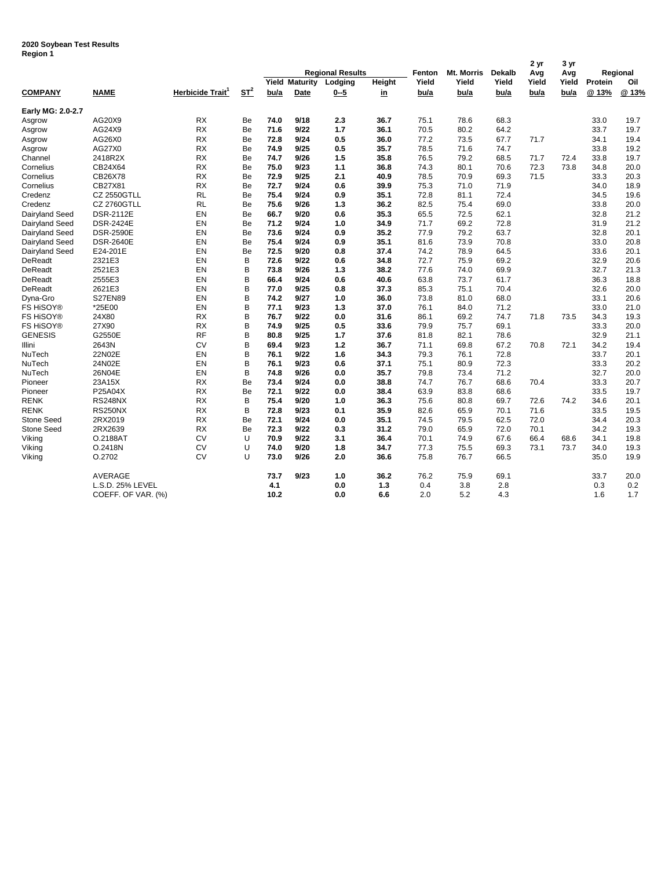## **2020 Soybean Test Results Region 1**

| negion i          |                    |                              |           |                         |      |         |           | Fenton | <b>Mt. Morris</b> | <b>Dekalb</b> | 2 yr<br>Avg | 3 yr<br>Avg | Regional       |       |
|-------------------|--------------------|------------------------------|-----------|-------------------------|------|---------|-----------|--------|-------------------|---------------|-------------|-------------|----------------|-------|
|                   |                    |                              |           | <b>Regional Results</b> |      |         |           |        |                   |               |             |             |                |       |
|                   |                    |                              |           | <b>Yield Maturity</b>   |      | Lodging | Height    | Yield  | Yield             | Yield         | Yield       | Yield       | Protein<br>Oil |       |
| <b>COMPANY</b>    | <b>NAME</b>        | Herbicide Trait <sup>1</sup> | $ST^2$    | bu/a                    | Date | $0 - 5$ | <u>in</u> | bu/a   | bu/a              | bu/a          | bu/a        | bu/a        | @13%           | @ 13% |
| Early MG: 2.0-2.7 |                    |                              |           |                         |      |         |           |        |                   |               |             |             |                |       |
| Asgrow            | AG20X9             | <b>RX</b>                    | Be        | 74.0                    | 9/18 | 2.3     | 36.7      | 75.1   | 78.6              | 68.3          |             |             | 33.0           | 19.7  |
| Asgrow            | AG24X9             | RX                           | Be        | 71.6                    | 9/22 | 1.7     | 36.1      | 70.5   | 80.2              | 64.2          |             |             | 33.7           | 19.7  |
| Asgrow            | AG26X0             | <b>RX</b>                    | Be        | 72.8                    | 9/24 | 0.5     | 36.0      | 77.2   | 73.5              | 67.7          | 71.7        |             | 34.1           | 19.4  |
| Asgrow            | AG27X0             | <b>RX</b>                    | Be        | 74.9                    | 9/25 | 0.5     | 35.7      | 78.5   | 71.6              | 74.7          |             |             | 33.8           | 19.2  |
| Channel           | 2418R2X            | <b>RX</b>                    | Be        | 74.7                    | 9/26 | 1.5     | 35.8      | 76.5   | 79.2              | 68.5          | 71.7        | 72.4        | 33.8           | 19.7  |
| Cornelius         | CB24X64            | <b>RX</b>                    | Be        | 75.0                    | 9/23 | 1.1     | 36.8      | 74.3   | 80.1              | 70.6          | 72.3        | 73.8        | 34.8           | 20.0  |
| Cornelius         | CB26X78            | <b>RX</b>                    | Be        | 72.9                    | 9/25 | 2.1     | 40.9      | 78.5   | 70.9              | 69.3          | 71.5        |             | 33.3           | 20.3  |
| Cornelius         | CB27X81            | <b>RX</b>                    | Be        | 72.7                    | 9/24 | 0.6     | 39.9      | 75.3   | 71.0              | 71.9          |             |             | 34.0           | 18.9  |
| Credenz           | <b>CZ 2550GTLL</b> | <b>RL</b>                    | Be        | 75.4                    | 9/24 | 0.9     | 35.1      | 72.8   | 81.1              | 72.4          |             |             | 34.5           | 19.6  |
| Credenz           | <b>CZ 2760GTLL</b> | RL                           | Be        | 75.6                    | 9/26 | 1.3     | 36.2      | 82.5   | 75.4              | 69.0          |             |             | 33.8           | 20.0  |
| Dairyland Seed    | <b>DSR-2112E</b>   | EN                           | Be        | 66.7                    | 9/20 | 0.6     | 35.3      | 65.5   | 72.5              | 62.1          |             |             | 32.8           | 21.2  |
| Dairyland Seed    | <b>DSR-2424E</b>   | EN                           | Be        | 71.2                    | 9/24 | 1.0     | 34.9      | 71.7   | 69.2              | 72.8          |             |             | 31.9           | 21.2  |
| Dairyland Seed    | <b>DSR-2590E</b>   | EN                           | Be        | 73.6                    | 9/24 | 0.9     | 35.2      | 77.9   | 79.2              | 63.7          |             |             | 32.8           | 20.1  |
| Dairyland Seed    | <b>DSR-2640E</b>   | EN                           | Be        | 75.4                    | 9/24 | 0.9     | 35.1      | 81.6   | 73.9              | 70.8          |             |             | 33.0           | 20.8  |
| Dairyland Seed    | E24-201E           | EN                           | Be        | 72.5                    | 9/20 | 0.8     | 37.4      | 74.2   | 78.9              | 64.5          |             |             | 33.6           | 20.1  |
| DeReadt           | 2321E3             | EN                           | B         | 72.6                    | 9/22 | 0.6     | 34.8      | 72.7   | 75.9              | 69.2          |             |             | 32.9           | 20.6  |
| DeReadt           | 2521E3             | EN                           | B         | 73.8                    | 9/26 | 1.3     | 38.2      | 77.6   | 74.0              | 69.9          |             |             | 32.7           | 21.3  |
| DeReadt           | 2555E3             | EN                           | B         | 66.4                    | 9/24 | 0.6     | 40.6      | 63.8   | 73.7              | 61.7          |             |             | 36.3           | 18.8  |
| DeReadt           | 2621E3             | EN                           | B         | 77.0                    | 9/25 | 0.8     | 37.3      | 85.3   | 75.1              | 70.4          |             |             | 32.6           | 20.0  |
| Dyna-Gro          | <b>S27EN89</b>     | EN                           | B         | 74.2                    | 9/27 | 1.0     | 36.0      | 73.8   | 81.0              | 68.0          |             |             | 33.1           | 20.6  |
| FS HiSOY®         | *25E00             | EN                           | B         | 77.1                    | 9/23 | 1.3     | 37.0      | 76.1   | 84.0              | 71.2          |             |             | 33.0           | 21.0  |
| FS HiSOY®         | 24X80              | <b>RX</b>                    | B         | 76.7                    | 9/22 | 0.0     | 31.6      | 86.1   | 69.2              | 74.7          | 71.8        | 73.5        | 34.3           | 19.3  |
| <b>FS HISOY®</b>  | 27X90              | <b>RX</b>                    | B         | 74.9                    | 9/25 | 0.5     | 33.6      | 79.9   | 75.7              | 69.1          |             |             | 33.3           | 20.0  |
| <b>GENESIS</b>    | G2550E             | <b>RF</b>                    | B         | 80.8                    | 9/25 | 1.7     | 37.6      | 81.8   | 82.1              | 78.6          |             |             | 32.9           | 21.1  |
| Illini            | 2643N              | CV                           | B         | 69.4                    | 9/23 | $1.2$   | 36.7      | 71.1   | 69.8              | 67.2          | 70.8        | 72.1        | 34.2           | 19.4  |
| NuTech            | 22N02E             | EN                           | B         | 76.1                    | 9/22 | 1.6     | 34.3      | 79.3   | 76.1              | 72.8          |             |             | 33.7           | 20.1  |
| NuTech            | 24N02E             | EN                           | B         | 76.1                    | 9/23 | 0.6     | 37.1      | 75.1   | 80.9              | 72.3          |             |             | 33.3           | 20.2  |
| NuTech            | 26N04E             | EN                           | B         | 74.8                    | 9/26 | 0.0     | 35.7      | 79.8   | 73.4              | 71.2          |             |             | 32.7           | 20.0  |
| Pioneer           | 23A15X             | <b>RX</b>                    | Be        | 73.4                    | 9/24 | 0.0     | 38.8      | 74.7   | 76.7              | 68.6          | 70.4        |             | 33.3           | 20.7  |
| Pioneer           | P25A04X            | <b>RX</b>                    | Be        | 72.1                    | 9/22 | 0.0     | 38.4      | 63.9   | 83.8              | 68.6          |             |             | 33.5           | 19.7  |
| <b>RENK</b>       | <b>RS248NX</b>     | <b>RX</b>                    | B         | 75.4                    | 9/20 | 1.0     | 36.3      | 75.6   | 80.8              | 69.7          | 72.6        | 74.2        | 34.6           | 20.1  |
| <b>RENK</b>       | <b>RS250NX</b>     | <b>RX</b>                    | B         | 72.8                    | 9/23 | 0.1     | 35.9      | 82.6   | 65.9              | 70.1          | 71.6        |             | 33.5           | 19.5  |
| Stone Seed        | 2RX2019            | <b>RX</b>                    | <b>Be</b> | 72.1                    | 9/24 | 0.0     | 35.1      | 74.5   | 79.5              | 62.5          | 72.0        |             | 34.4           | 20.3  |
| <b>Stone Seed</b> | 2RX2639            | <b>RX</b>                    | Be        | 72.3                    | 9/22 | 0.3     | 31.2      | 79.0   | 65.9              | 72.0          | 70.1        |             | 34.2           | 19.3  |
| Viking            | O.2188AT           | <b>CV</b>                    | U         | 70.9                    | 9/22 | 3.1     | 36.4      | 70.1   | 74.9              | 67.6          | 66.4        | 68.6        | 34.1           | 19.8  |
| Viking            | O.2418N            | CV                           | U         | 74.0                    | 9/20 | 1.8     | 34.7      | 77.3   | 75.5              | 69.3          | 73.1        | 73.7        | 34.0           | 19.3  |
| Viking            | O.2702             | CV                           | U         | 73.0                    | 9/26 | 2.0     | 36.6      | 75.8   | 76.7              | 66.5          |             |             | 35.0           | 19.9  |
|                   | AVERAGE            |                              |           | 73.7                    | 9/23 | 1.0     | 36.2      | 76.2   | 75.9              | 69.1          |             |             | 33.7           | 20.0  |
|                   | L.S.D. 25% LEVEL   |                              |           | 4.1                     |      | 0.0     | 1.3       | 0.4    | 3.8               | 2.8           |             |             | 0.3            | 0.2   |
|                   | COEFF. OF VAR. (%) |                              |           | 10.2                    |      | 0.0     | 6.6       | 2.0    | 5.2               | 4.3           |             |             | 1.6            | 1.7   |